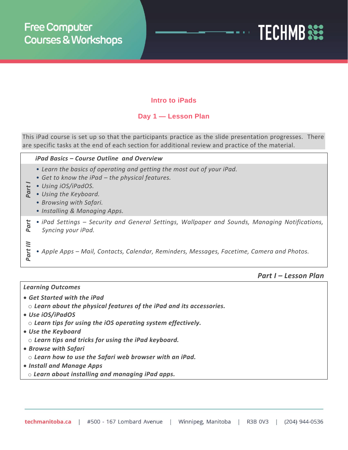

# **Intro to iPads**

# **Day 1 — Lesson Plan**

This iPad course is set up so that the participants practice as the slide presentation progresses. There are specific tasks at the end of each section for additional review and practice of the material.

### *iPad Basics – Course Outline and Overview*

- *Learn the basics of operating and getting the most out of your iPad.*
- *Get to know the iPad – the physical features.*
- **Part** *Using iOS/iPadOS.*<br>a *Using the Keyboar* 
	- *Using the Keyboard.*
	- *Browsing with Safari.*
	- *Installing & Managing Apps.*
- *Part II* • *iPad Settings – Security and General Settings, Wallpaper and Sounds, Managing Notifications, Syncing your iPad.*
- *Part III*
- *Apple Apps – Mail, Contacts, Calendar, Reminders, Messages, Facetime, Camera and Photos.*
- 

### *Part I – Lesson Plan*

#### *Learning Outcomes*

- *Get Started with the iPad*
- o *Learn about the physical features of the iPad and its accessories.*
- *Use iOS/iPadOS*
	- o *Learn tips for using the iOS operating system effectively.*
- *Use the Keyboard*
	- o *Learn tips and tricks for using the iPad keyboard.*
- *Browse with Safari*
	- o *Learn how to use the Safari web browser with an iPad.*
- *Install and Manage Apps*
	- o *Learn about installing and managing iPad apps.*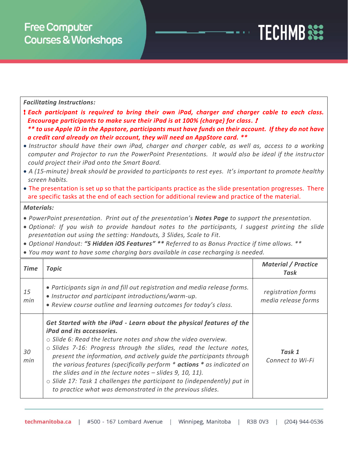|                   | <b>Facilitating Instructions:</b>                                                                                                                                                                                                                                                                                                                                                                                                                                                                                                                                                                                                                                                                                                                                                                                                                                                                                                                                                              |                                           |
|-------------------|------------------------------------------------------------------------------------------------------------------------------------------------------------------------------------------------------------------------------------------------------------------------------------------------------------------------------------------------------------------------------------------------------------------------------------------------------------------------------------------------------------------------------------------------------------------------------------------------------------------------------------------------------------------------------------------------------------------------------------------------------------------------------------------------------------------------------------------------------------------------------------------------------------------------------------------------------------------------------------------------|-------------------------------------------|
|                   | ! Each participant is required to bring their own iPad, charger and charger cable to each class.<br>Encourage participants to make sure their iPad is at 100% (charge) for class. !<br>** to use Apple ID in the Appstore, participants must have funds on their account. If they do not have<br>a credit card already on their account, they will need an AppStore card. **<br>· Instructor should have their own iPad, charger and charger cable, as well as, access to a working<br>computer and Projector to run the PowerPoint Presentations. It would also be ideal if the instructor<br>could project their iPad onto the Smart Board.<br>• A (15-minute) break should be provided to participants to rest eyes. It's important to promote healthy<br>screen habits.<br>• The presentation is set up so that the participants practice as the slide presentation progresses. There<br>are specific tasks at the end of each section for additional review and practice of the material. |                                           |
| <b>Materials:</b> | • PowerPoint presentation. Print out of the presentation's Notes Page to support the presentation.<br>. Optional: If you wish to provide handout notes to the participants, I suggest printing the slide<br>presentation out using the setting: Handouts, 3 Slides, Scale to Fit.<br>• Optional Handout: "5 Hidden iOS Features" ** Referred to as Bonus Practice if time allows. **<br>• You may want to have some charging bars available in case recharging is needed.                                                                                                                                                                                                                                                                                                                                                                                                                                                                                                                      |                                           |
| <b>Time</b>       | <b>Topic</b>                                                                                                                                                                                                                                                                                                                                                                                                                                                                                                                                                                                                                                                                                                                                                                                                                                                                                                                                                                                   | <b>Material / Practice</b><br><b>Task</b> |
| 15<br>min         | • Participants sign in and fill out registration and media release forms.<br>· Instructor and participant introductions/warm-up.<br>· Review course outline and learning outcomes for today's class.                                                                                                                                                                                                                                                                                                                                                                                                                                                                                                                                                                                                                                                                                                                                                                                           | registration forms<br>media release forms |
| 30<br>min         | Get Started with the iPad - Learn about the physical features of the<br>iPad and its accessories.<br>o Slide 6: Read the lecture notes and show the video overview.<br>o Slides 7-16: Progress through the slides, read the lecture notes,<br>present the information, and actively guide the participants through<br>the various features (specifically perform * actions * as indicated on                                                                                                                                                                                                                                                                                                                                                                                                                                                                                                                                                                                                   | Task 1<br>Connect to Wi-Fi                |

**TECHMB** SEE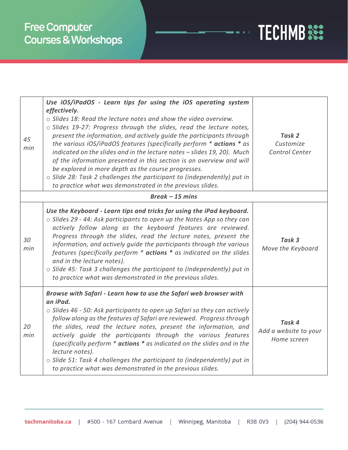

| 45<br>min        | Use iOS/iPadOS - Learn tips for using the iOS operating system<br>effectively.<br>o Slides 18: Read the lecture notes and show the video overview.<br>o Slides 19-27: Progress through the slides, read the lecture notes,<br>present the information, and actively quide the participants through<br>the various iOS/iPadOS features (specifically perform * actions * as<br>indicated on the slides and in the lecture notes - slides 19, 20). Much<br>of the information presented in this section is an overview and will<br>be explored in more depth as the course progresses.<br>o Slide 28: Task 2 challenges the participant to (independently) put in<br>to practice what was demonstrated in the previous slides. | Task 2<br>Customize<br>Control Center          |  |  |
|------------------|------------------------------------------------------------------------------------------------------------------------------------------------------------------------------------------------------------------------------------------------------------------------------------------------------------------------------------------------------------------------------------------------------------------------------------------------------------------------------------------------------------------------------------------------------------------------------------------------------------------------------------------------------------------------------------------------------------------------------|------------------------------------------------|--|--|
| $Break -15 mins$ |                                                                                                                                                                                                                                                                                                                                                                                                                                                                                                                                                                                                                                                                                                                              |                                                |  |  |
| 30<br>min        | Use the Keyboard - Learn tips and tricks for using the iPad keyboard.<br>o Slides 29 - 44: Ask participants to open up the Notes App so they can<br>actively follow along as the keyboard features are reviewed.<br>Progress through the slides, read the lecture notes, present the<br>information, and actively guide the participants through the various<br>features (specifically perform * actions * as indicated on the slides<br>and in the lecture notes).<br>o Slide 45: Task 3 challenges the participant to (independently) put in<br>to practice what was demonstrated in the previous slides.                                                                                                                  | Task 3<br>Move the Keyboard                    |  |  |
| 20<br>min        | Browse with Safari - Learn how to use the Safari web browser with<br>an iPad.<br>$\circ$ Slides 46 - 50: Ask participants to open up Safari so they can actively<br>follow along as the features of Safari are reviewed. Progress through<br>the slides, read the lecture notes, present the information, and<br>actively guide the participants through the various features<br>(specifically perform * actions * as indicated on the slides and in the<br>lecture notes).<br>o Slide 51: Task 4 challenges the participant to (independently) put in<br>to practice what was demonstrated in the previous slides.                                                                                                          | Task 4<br>Add a website to your<br>Home screen |  |  |